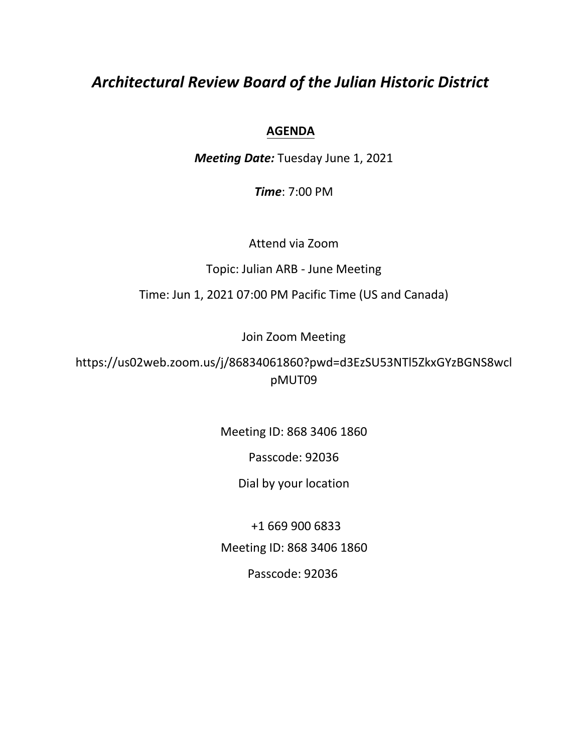# *Architectural Review Board of the Julian Historic District*

# **AGENDA**

*Meeting Date:* Tuesday June 1, 2021

*Time*: 7:00 PM

Attend via Zoom

Topic: Julian ARB - June Meeting

Time: Jun 1, 2021 07:00 PM Pacific Time (US and Canada)

Join Zoom Meeting

https://us02web.zoom.us/j/86834061860?pwd=d3EzSU53NTl5ZkxGYzBGNS8wcl pMUT09

Meeting ID: 868 3406 1860

Passcode: 92036

Dial by your location

+1 669 900 6833 Meeting ID: 868 3406 1860 Passcode: 92036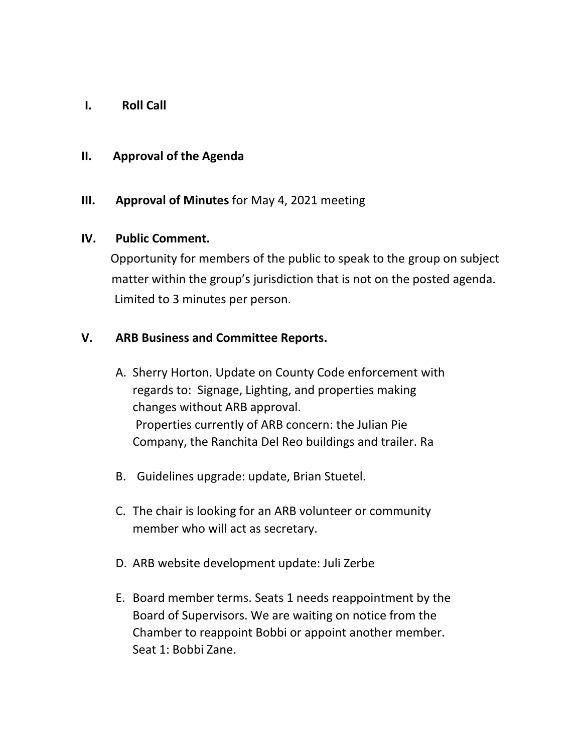**I. Roll Call**

#### **II. Approval of the Agenda**

## **III. Approval of Minutes** for May 4, 2021 meeting

#### **IV. Public Comment.**

Opportunity for members of the public to speak to the group on subject matter within the group's jurisdiction that is not on the posted agenda. Limited to 3 minutes per person.

## **V. ARB Business and Committee Reports.**

- A. Sherry Horton. Update on County Code enforcement with regards to: Signage, Lighting, and properties making changes without ARB approval. Properties currently of ARB concern: the Julian Pie Company, the Ranchita Del Reo buildings and trailer. Ra
- B. Guidelines upgrade: update, Brian Stuetel.
- C. The chair is looking for an ARB volunteer or community member who will act as secretary.
- D. ARB website development update: Juli Zerbe
- E. Board member terms. Seats 1 needs reappointment by the Board of Supervisors. We are waiting on notice from the Chamber to reappoint Bobbi or appoint another member. Seat 1: Bobbi Zane.